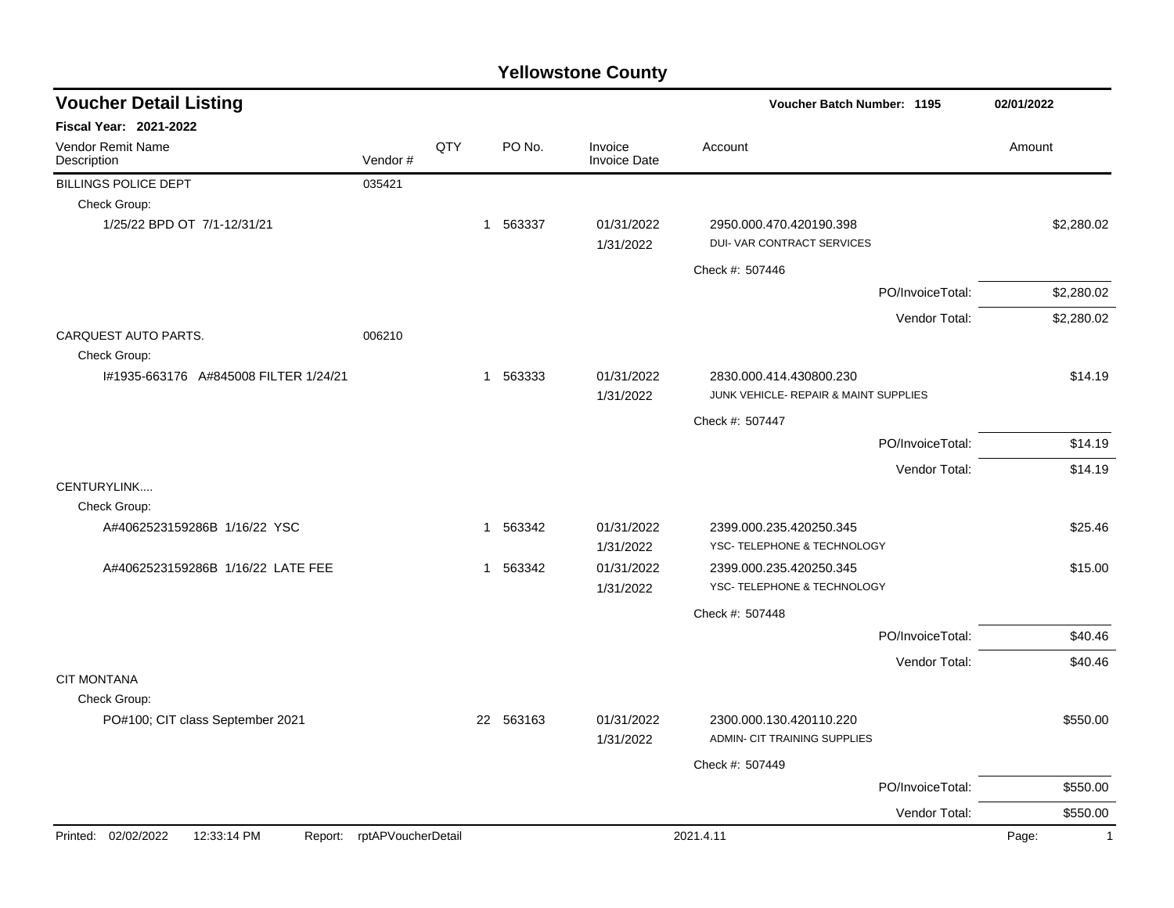| <b>Voucher Detail Listing</b>         |                            |     |           |                                | Voucher Batch Number: 1195                                       | 02/01/2022            |
|---------------------------------------|----------------------------|-----|-----------|--------------------------------|------------------------------------------------------------------|-----------------------|
| <b>Fiscal Year: 2021-2022</b>         |                            |     |           |                                |                                                                  |                       |
| Vendor Remit Name<br>Description      | Vendor#                    | QTY | PO No.    | Invoice<br><b>Invoice Date</b> | Account                                                          | Amount                |
| <b>BILLINGS POLICE DEPT</b>           | 035421                     |     |           |                                |                                                                  |                       |
| Check Group:                          |                            |     |           |                                |                                                                  |                       |
| 1/25/22 BPD OT 7/1-12/31/21           |                            |     | 1 563337  | 01/31/2022<br>1/31/2022        | 2950.000.470.420190.398<br>DUI- VAR CONTRACT SERVICES            | \$2,280.02            |
|                                       |                            |     |           |                                | Check #: 507446                                                  |                       |
|                                       |                            |     |           |                                | PO/InvoiceTotal:                                                 | \$2,280.02            |
|                                       |                            |     |           |                                | Vendor Total:                                                    | \$2,280.02            |
| CARQUEST AUTO PARTS.<br>Check Group:  | 006210                     |     |           |                                |                                                                  |                       |
| I#1935-663176 A#845008 FILTER 1/24/21 |                            |     | 1 563333  | 01/31/2022<br>1/31/2022        | 2830.000.414.430800.230<br>JUNK VEHICLE- REPAIR & MAINT SUPPLIES | \$14.19               |
|                                       |                            |     |           |                                | Check #: 507447                                                  |                       |
|                                       |                            |     |           |                                | PO/InvoiceTotal:                                                 | \$14.19               |
|                                       |                            |     |           |                                | Vendor Total:                                                    | \$14.19               |
| CENTURYLINK<br>Check Group:           |                            |     |           |                                |                                                                  |                       |
| A#4062523159286B 1/16/22 YSC          |                            |     | 1 563342  | 01/31/2022<br>1/31/2022        | 2399.000.235.420250.345<br>YSC- TELEPHONE & TECHNOLOGY           | \$25.46               |
| A#4062523159286B 1/16/22 LATE FEE     |                            |     | 1 563342  | 01/31/2022<br>1/31/2022        | 2399.000.235.420250.345<br>YSC- TELEPHONE & TECHNOLOGY           | \$15.00               |
|                                       |                            |     |           |                                |                                                                  |                       |
|                                       |                            |     |           |                                | Check #: 507448                                                  |                       |
|                                       |                            |     |           |                                | PO/InvoiceTotal:                                                 | \$40.46               |
| <b>CIT MONTANA</b><br>Check Group:    |                            |     |           |                                | Vendor Total:                                                    | \$40.46               |
| PO#100; CIT class September 2021      |                            |     | 22 563163 | 01/31/2022<br>1/31/2022        | 2300.000.130.420110.220<br>ADMIN- CIT TRAINING SUPPLIES          | \$550.00              |
|                                       |                            |     |           |                                | Check #: 507449                                                  |                       |
|                                       |                            |     |           |                                | PO/InvoiceTotal:                                                 | \$550.00              |
|                                       |                            |     |           |                                | Vendor Total:                                                    | \$550.00              |
| Printed: 02/02/2022<br>12:33:14 PM    | Report: rptAPVoucherDetail |     |           |                                | 2021.4.11                                                        | Page:<br>$\mathbf{1}$ |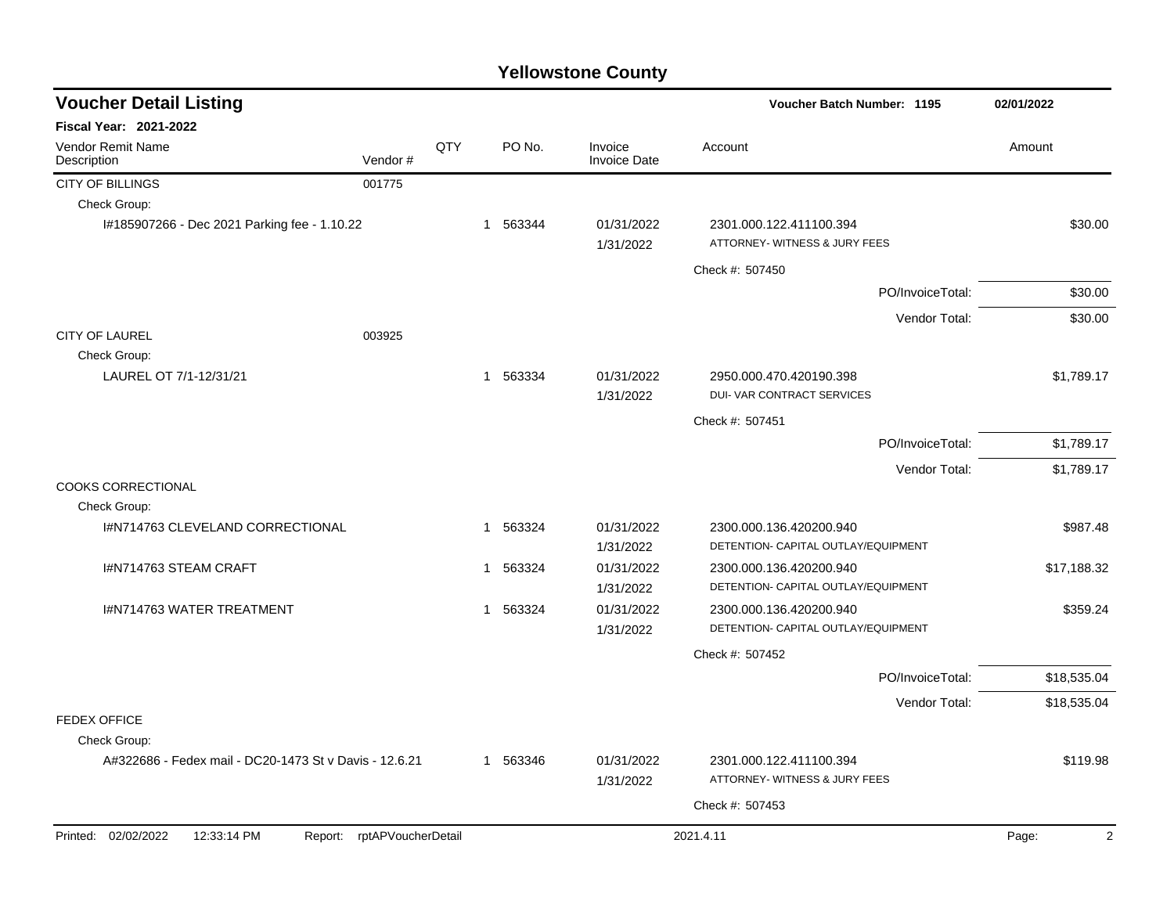| <b>Voucher Detail Listing</b>                          |                    |     |              |                                | 02/01/2022                                               |                         |
|--------------------------------------------------------|--------------------|-----|--------------|--------------------------------|----------------------------------------------------------|-------------------------|
| Fiscal Year: 2021-2022                                 |                    |     |              |                                |                                                          |                         |
| Vendor Remit Name<br>Description                       | Vendor#            | QTY | PO No.       | Invoice<br><b>Invoice Date</b> | Account                                                  | Amount                  |
| CITY OF BILLINGS                                       | 001775             |     |              |                                |                                                          |                         |
| Check Group:                                           |                    |     |              |                                |                                                          |                         |
| l#185907266 - Dec 2021 Parking fee - 1.10.22           |                    |     | 1 563344     | 01/31/2022<br>1/31/2022        | 2301.000.122.411100.394<br>ATTORNEY- WITNESS & JURY FEES | \$30.00                 |
|                                                        |                    |     |              |                                | Check #: 507450                                          |                         |
|                                                        |                    |     |              |                                | PO/InvoiceTotal:                                         | \$30.00                 |
|                                                        |                    |     |              |                                | Vendor Total:                                            | \$30.00                 |
| <b>CITY OF LAUREL</b>                                  | 003925             |     |              |                                |                                                          |                         |
| Check Group:                                           |                    |     |              |                                |                                                          |                         |
| LAUREL OT 7/1-12/31/21                                 |                    |     | 1 563334     | 01/31/2022<br>1/31/2022        | 2950.000.470.420190.398<br>DUI- VAR CONTRACT SERVICES    | \$1,789.17              |
|                                                        |                    |     |              |                                | Check #: 507451                                          |                         |
|                                                        |                    |     |              |                                | PO/InvoiceTotal:                                         | \$1,789.17              |
|                                                        |                    |     |              |                                | Vendor Total:                                            | \$1,789.17              |
| <b>COOKS CORRECTIONAL</b><br>Check Group:              |                    |     |              |                                |                                                          |                         |
| I#N714763 CLEVELAND CORRECTIONAL                       |                    |     | 1 563324     | 01/31/2022                     | 2300.000.136.420200.940                                  | \$987.48                |
|                                                        |                    |     |              | 1/31/2022                      | DETENTION- CAPITAL OUTLAY/EQUIPMENT                      |                         |
| I#N714763 STEAM CRAFT                                  |                    |     | 563324<br>-1 | 01/31/2022                     | 2300.000.136.420200.940                                  | \$17,188.32             |
|                                                        |                    |     |              | 1/31/2022                      | DETENTION- CAPITAL OUTLAY/EQUIPMENT                      |                         |
| <b>I#N714763 WATER TREATMENT</b>                       |                    |     | 1 563324     | 01/31/2022                     | 2300.000.136.420200.940                                  | \$359.24                |
|                                                        |                    |     |              | 1/31/2022                      | DETENTION- CAPITAL OUTLAY/EQUIPMENT                      |                         |
|                                                        |                    |     |              |                                | Check #: 507452                                          |                         |
|                                                        |                    |     |              |                                | PO/InvoiceTotal:                                         | \$18,535.04             |
|                                                        |                    |     |              |                                | Vendor Total:                                            | \$18,535.04             |
| FEDEX OFFICE                                           |                    |     |              |                                |                                                          |                         |
| Check Group:                                           |                    |     |              |                                |                                                          |                         |
| A#322686 - Fedex mail - DC20-1473 St v Davis - 12.6.21 |                    |     | 1 563346     | 01/31/2022                     | 2301.000.122.411100.394                                  | \$119.98                |
|                                                        |                    |     |              | 1/31/2022                      | ATTORNEY- WITNESS & JURY FEES                            |                         |
|                                                        |                    |     |              |                                | Check #: 507453                                          |                         |
| Printed: 02/02/2022<br>12:33:14 PM<br>Report:          | rptAPVoucherDetail |     |              |                                | 2021.4.11                                                | $\overline{2}$<br>Page: |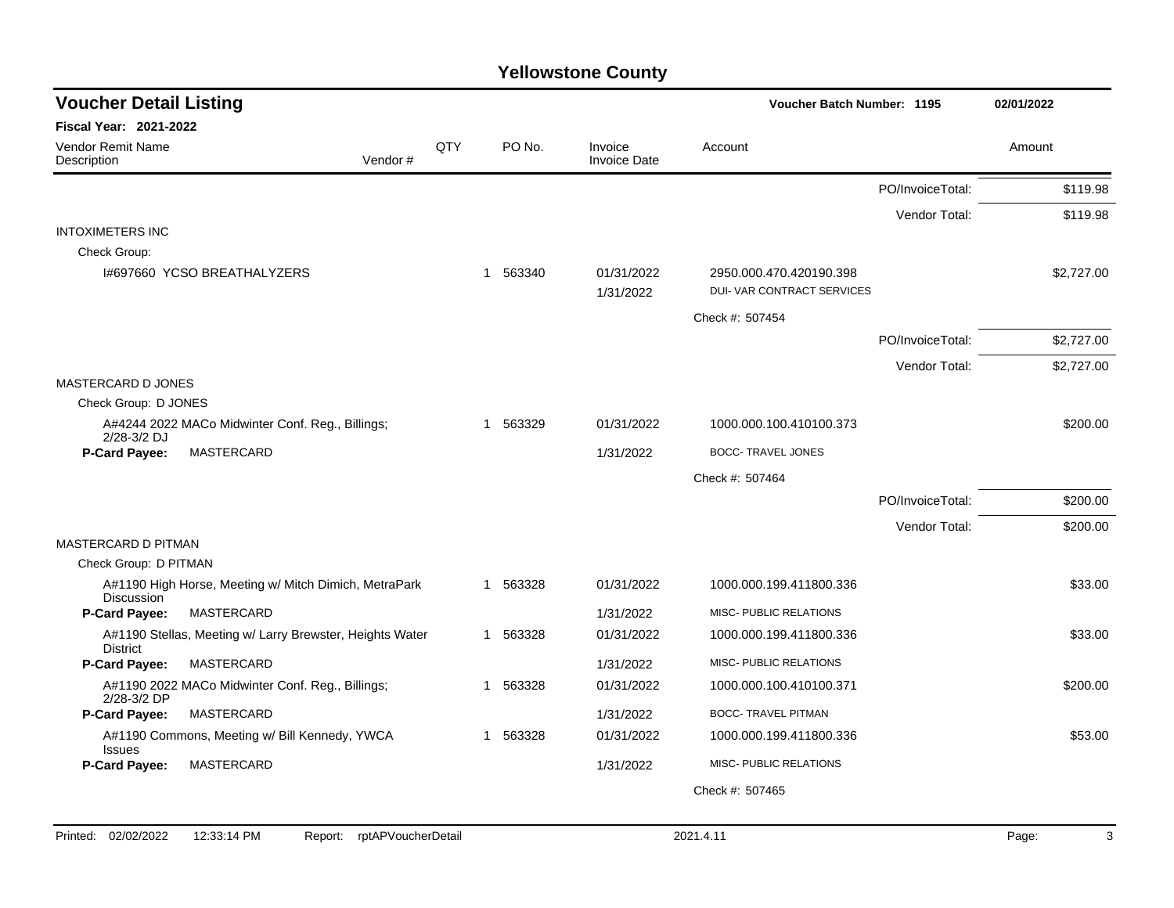| <b>Voucher Detail Listing</b>           |                                                          |         |     |          | Voucher Batch Number: 1195     | 02/01/2022                                            |                  |            |
|-----------------------------------------|----------------------------------------------------------|---------|-----|----------|--------------------------------|-------------------------------------------------------|------------------|------------|
| <b>Fiscal Year: 2021-2022</b>           |                                                          |         |     |          |                                |                                                       |                  |            |
| <b>Vendor Remit Name</b><br>Description |                                                          | Vendor# | QTY | PO No.   | Invoice<br><b>Invoice Date</b> | Account                                               |                  | Amount     |
|                                         |                                                          |         |     |          |                                |                                                       | PO/InvoiceTotal: | \$119.98   |
|                                         |                                                          |         |     |          |                                |                                                       | Vendor Total:    | \$119.98   |
| <b>INTOXIMETERS INC</b>                 |                                                          |         |     |          |                                |                                                       |                  |            |
| Check Group:                            |                                                          |         |     |          |                                |                                                       |                  |            |
|                                         | 1#697660 YCSO BREATHALYZERS                              |         |     | 1 563340 | 01/31/2022<br>1/31/2022        | 2950.000.470.420190.398<br>DUI- VAR CONTRACT SERVICES |                  | \$2,727.00 |
|                                         |                                                          |         |     |          |                                | Check #: 507454                                       |                  |            |
|                                         |                                                          |         |     |          |                                |                                                       | PO/InvoiceTotal: | \$2,727.00 |
|                                         |                                                          |         |     |          |                                |                                                       | Vendor Total:    | \$2,727.00 |
| MASTERCARD D JONES                      |                                                          |         |     |          |                                |                                                       |                  |            |
| Check Group: D JONES                    |                                                          |         |     |          |                                |                                                       |                  |            |
| 2/28-3/2 DJ                             | A#4244 2022 MACo Midwinter Conf. Reg., Billings;         |         |     | 1 563329 | 01/31/2022                     | 1000.000.100.410100.373                               |                  | \$200.00   |
| <b>P-Card Payee:</b>                    | MASTERCARD                                               |         |     |          | 1/31/2022                      | <b>BOCC- TRAVEL JONES</b>                             |                  |            |
|                                         |                                                          |         |     |          |                                | Check #: 507464                                       |                  |            |
|                                         |                                                          |         |     |          |                                |                                                       | PO/InvoiceTotal: | \$200.00   |
|                                         |                                                          |         |     |          |                                |                                                       | Vendor Total:    | \$200.00   |
| MASTERCARD D PITMAN                     |                                                          |         |     |          |                                |                                                       |                  |            |
| Check Group: D PITMAN                   |                                                          |         |     |          |                                |                                                       |                  |            |
| Discussion                              | A#1190 High Horse, Meeting w/ Mitch Dimich, MetraPark    |         |     | 1 563328 | 01/31/2022                     | 1000.000.199.411800.336                               |                  | \$33.00    |
| P-Card Payee:                           | MASTERCARD                                               |         |     |          | 1/31/2022                      | MISC- PUBLIC RELATIONS                                |                  |            |
| <b>District</b>                         | A#1190 Stellas, Meeting w/ Larry Brewster, Heights Water |         |     | 1 563328 | 01/31/2022                     | 1000.000.199.411800.336                               |                  | \$33.00    |
| <b>P-Card Payee:</b>                    | MASTERCARD                                               |         |     |          | 1/31/2022                      | MISC- PUBLIC RELATIONS                                |                  |            |
| 2/28-3/2 DP                             | A#1190 2022 MACo Midwinter Conf. Reg., Billings;         |         |     | 1 563328 | 01/31/2022                     | 1000.000.100.410100.371                               |                  | \$200.00   |
| P-Card Payee:                           | <b>MASTERCARD</b>                                        |         |     |          | 1/31/2022                      | <b>BOCC- TRAVEL PITMAN</b>                            |                  |            |
| <b>Issues</b>                           | A#1190 Commons, Meeting w/ Bill Kennedy, YWCA            |         |     | 1 563328 | 01/31/2022                     | 1000.000.199.411800.336                               |                  | \$53.00    |
| P-Card Payee:                           | MASTERCARD                                               |         |     |          | 1/31/2022                      | MISC- PUBLIC RELATIONS                                |                  |            |
|                                         |                                                          |         |     |          |                                | Check #: 507465                                       |                  |            |
|                                         |                                                          |         |     |          |                                |                                                       |                  |            |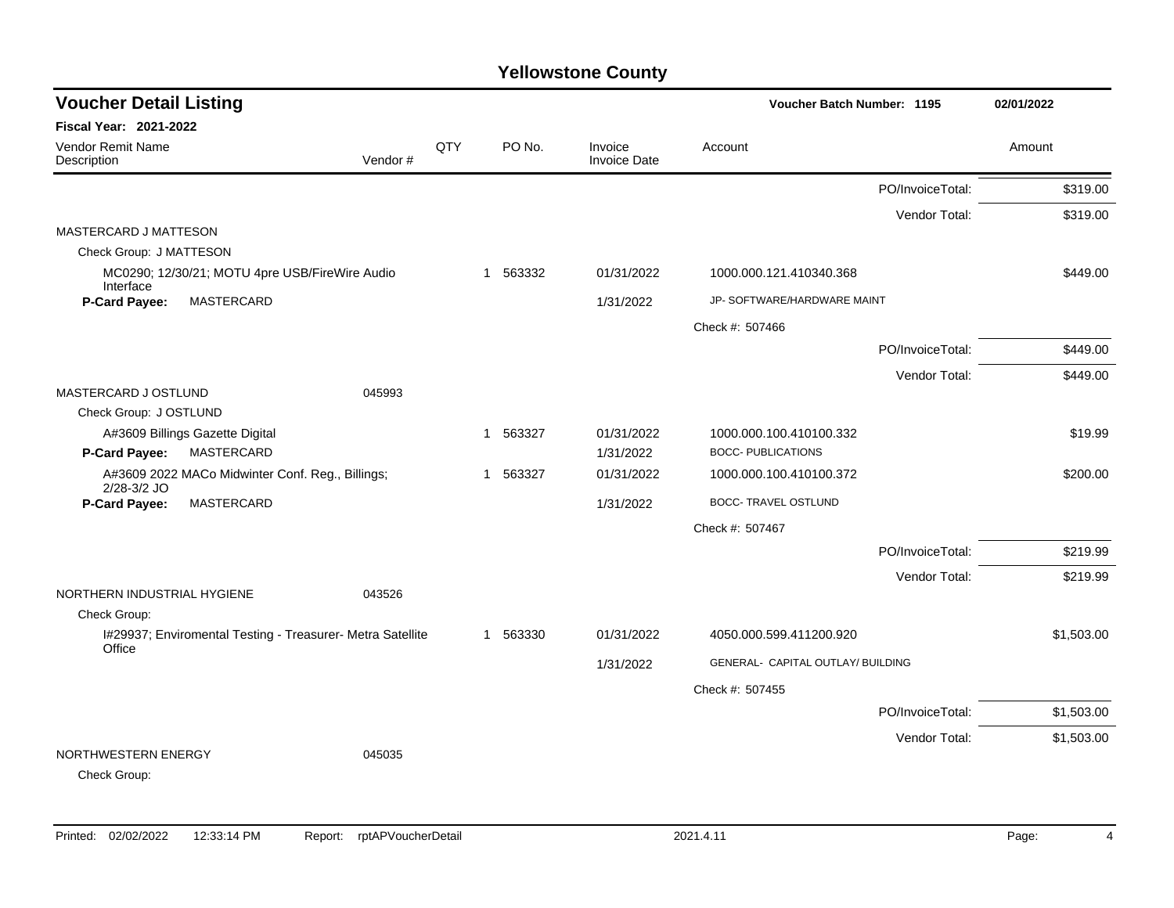| <b>Voucher Detail Listing</b>                                        |         |     |                       |                                | Voucher Batch Number: 1195        |                  | 02/01/2022 |
|----------------------------------------------------------------------|---------|-----|-----------------------|--------------------------------|-----------------------------------|------------------|------------|
| <b>Fiscal Year: 2021-2022</b>                                        |         |     |                       |                                |                                   |                  |            |
| Vendor Remit Name<br>Description                                     | Vendor# | QTY | PO No.                | Invoice<br><b>Invoice Date</b> | Account                           |                  | Amount     |
|                                                                      |         |     |                       |                                |                                   | PO/InvoiceTotal: | \$319.00   |
|                                                                      |         |     |                       |                                |                                   | Vendor Total:    | \$319.00   |
| MASTERCARD J MATTESON<br>Check Group: J MATTESON                     |         |     |                       |                                |                                   |                  |            |
| MC0290; 12/30/21; MOTU 4pre USB/FireWire Audio                       |         |     | 563332<br>$\mathbf 1$ | 01/31/2022                     | 1000.000.121.410340.368           |                  | \$449.00   |
| Interface<br>P-Card Payee:<br>MASTERCARD                             |         |     |                       | 1/31/2022                      | JP- SOFTWARE/HARDWARE MAINT       |                  |            |
|                                                                      |         |     |                       |                                | Check #: 507466                   |                  |            |
|                                                                      |         |     |                       |                                |                                   | PO/InvoiceTotal: | \$449.00   |
|                                                                      |         |     |                       |                                |                                   |                  |            |
| MASTERCARD J OSTLUND                                                 | 045993  |     |                       |                                |                                   | Vendor Total:    | \$449.00   |
| Check Group: J OSTLUND                                               |         |     |                       |                                |                                   |                  |            |
| A#3609 Billings Gazette Digital                                      |         |     | 563327<br>$\mathbf 1$ | 01/31/2022                     | 1000.000.100.410100.332           |                  | \$19.99    |
| <b>P-Card Payee:</b><br><b>MASTERCARD</b>                            |         |     |                       | 1/31/2022                      | <b>BOCC- PUBLICATIONS</b>         |                  |            |
| A#3609 2022 MACo Midwinter Conf. Reg., Billings;<br>2/28-3/2 JO      |         |     | 563327<br>-1          | 01/31/2022                     | 1000.000.100.410100.372           |                  | \$200.00   |
| <b>P-Card Payee:</b><br><b>MASTERCARD</b>                            |         |     |                       | 1/31/2022                      | <b>BOCC- TRAVEL OSTLUND</b>       |                  |            |
|                                                                      |         |     |                       |                                | Check #: 507467                   |                  |            |
|                                                                      |         |     |                       |                                |                                   | PO/InvoiceTotal: | \$219.99   |
|                                                                      |         |     |                       |                                |                                   | Vendor Total:    | \$219.99   |
| NORTHERN INDUSTRIAL HYGIENE                                          | 043526  |     |                       |                                |                                   |                  |            |
| Check Group:                                                         |         |     |                       |                                |                                   |                  |            |
| I#29937; Enviromental Testing - Treasurer- Metra Satellite<br>Office |         |     | 563330<br>1           | 01/31/2022                     | 4050.000.599.411200.920           |                  | \$1,503.00 |
|                                                                      |         |     |                       | 1/31/2022                      | GENERAL- CAPITAL OUTLAY/ BUILDING |                  |            |
|                                                                      |         |     |                       |                                | Check #: 507455                   |                  |            |
|                                                                      |         |     |                       |                                |                                   | PO/InvoiceTotal: | \$1,503.00 |
|                                                                      |         |     |                       |                                |                                   | Vendor Total:    | \$1,503.00 |
| NORTHWESTERN ENERGY<br>Check Group:                                  | 045035  |     |                       |                                |                                   |                  |            |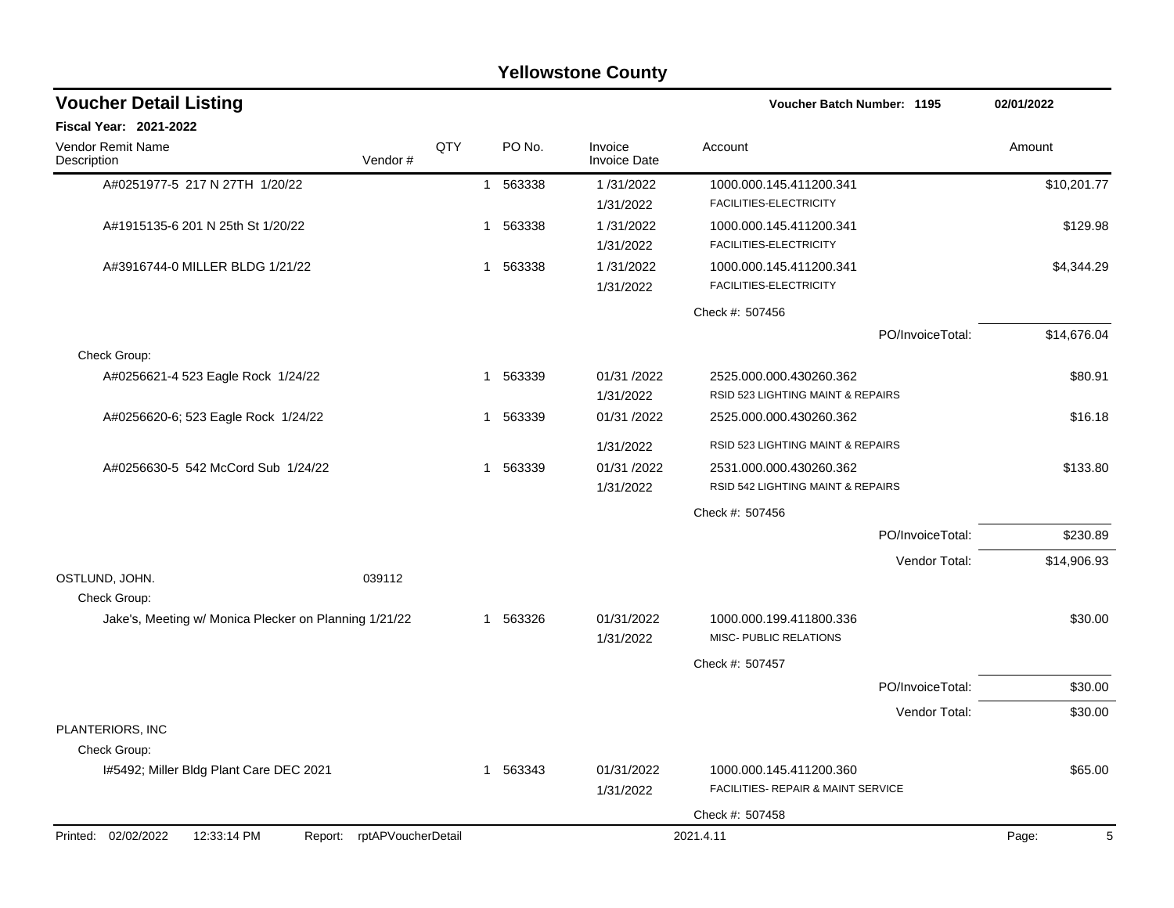| <b>Yellowstone County</b>                                           |     |             |                                |                                                               |                  |             |  |
|---------------------------------------------------------------------|-----|-------------|--------------------------------|---------------------------------------------------------------|------------------|-------------|--|
| <b>Voucher Detail Listing</b>                                       |     |             |                                | Voucher Batch Number: 1195                                    |                  | 02/01/2022  |  |
| Fiscal Year: 2021-2022                                              |     |             |                                |                                                               |                  |             |  |
| Vendor Remit Name<br>Vendor#<br>Description                         | QTY | PO No.      | Invoice<br><b>Invoice Date</b> | Account                                                       |                  | Amount      |  |
| A#0251977-5 217 N 27TH 1/20/22                                      |     | 1 563338    | 1/31/2022<br>1/31/2022         | 1000.000.145.411200.341<br>FACILITIES-ELECTRICITY             |                  | \$10,201.77 |  |
| A#1915135-6 201 N 25th St 1/20/22                                   |     | 563338<br>1 | 1/31/2022<br>1/31/2022         | 1000.000.145.411200.341<br>FACILITIES-ELECTRICITY             |                  | \$129.98    |  |
| A#3916744-0 MILLER BLDG 1/21/22                                     |     | 563338<br>1 | 1/31/2022<br>1/31/2022         | 1000.000.145.411200.341<br>FACILITIES-ELECTRICITY             |                  | \$4,344.29  |  |
|                                                                     |     |             |                                | Check #: 507456                                               |                  |             |  |
| Check Group:                                                        |     |             |                                |                                                               | PO/InvoiceTotal: | \$14,676.04 |  |
| A#0256621-4 523 Eagle Rock 1/24/22                                  |     | 563339<br>1 | 01/31 /2022<br>1/31/2022       | 2525.000.000.430260.362<br>RSID 523 LIGHTING MAINT & REPAIRS  |                  | \$80.91     |  |
| A#0256620-6; 523 Eagle Rock 1/24/22                                 |     | 563339<br>1 | 01/31 /2022                    | 2525.000.000.430260.362                                       |                  | \$16.18     |  |
|                                                                     |     |             | 1/31/2022                      | RSID 523 LIGHTING MAINT & REPAIRS                             |                  |             |  |
| A#0256630-5 542 McCord Sub 1/24/22                                  |     | 1 563339    | 01/31 /2022<br>1/31/2022       | 2531.000.000.430260.362<br>RSID 542 LIGHTING MAINT & REPAIRS  |                  | \$133.80    |  |
|                                                                     |     |             |                                | Check #: 507456                                               |                  |             |  |
|                                                                     |     |             |                                |                                                               | PO/InvoiceTotal: | \$230.89    |  |
|                                                                     |     |             |                                |                                                               | Vendor Total:    | \$14,906.93 |  |
| OSTLUND, JOHN.<br>039112<br>Check Group:                            |     |             |                                |                                                               |                  |             |  |
| Jake's, Meeting w/ Monica Plecker on Planning 1/21/22               |     | 1 563326    | 01/31/2022<br>1/31/2022        | 1000.000.199.411800.336<br>MISC- PUBLIC RELATIONS             |                  | \$30.00     |  |
|                                                                     |     |             |                                | Check #: 507457                                               |                  |             |  |
|                                                                     |     |             |                                |                                                               | PO/InvoiceTotal: | \$30.00     |  |
|                                                                     |     |             |                                |                                                               | Vendor Total:    | \$30.00     |  |
| PLANTERIORS, INC<br>Check Group:                                    |     |             |                                |                                                               |                  |             |  |
| I#5492; Miller Bldg Plant Care DEC 2021                             |     | 1 563343    | 01/31/2022<br>1/31/2022        | 1000.000.145.411200.360<br>FACILITIES- REPAIR & MAINT SERVICE |                  | \$65.00     |  |
|                                                                     |     |             |                                | Check #: 507458                                               |                  |             |  |
| Printed: 02/02/2022<br>12:33:14 PM<br>rptAPVoucherDetail<br>Report: |     |             |                                | 2021.4.11                                                     |                  | Page:<br>5  |  |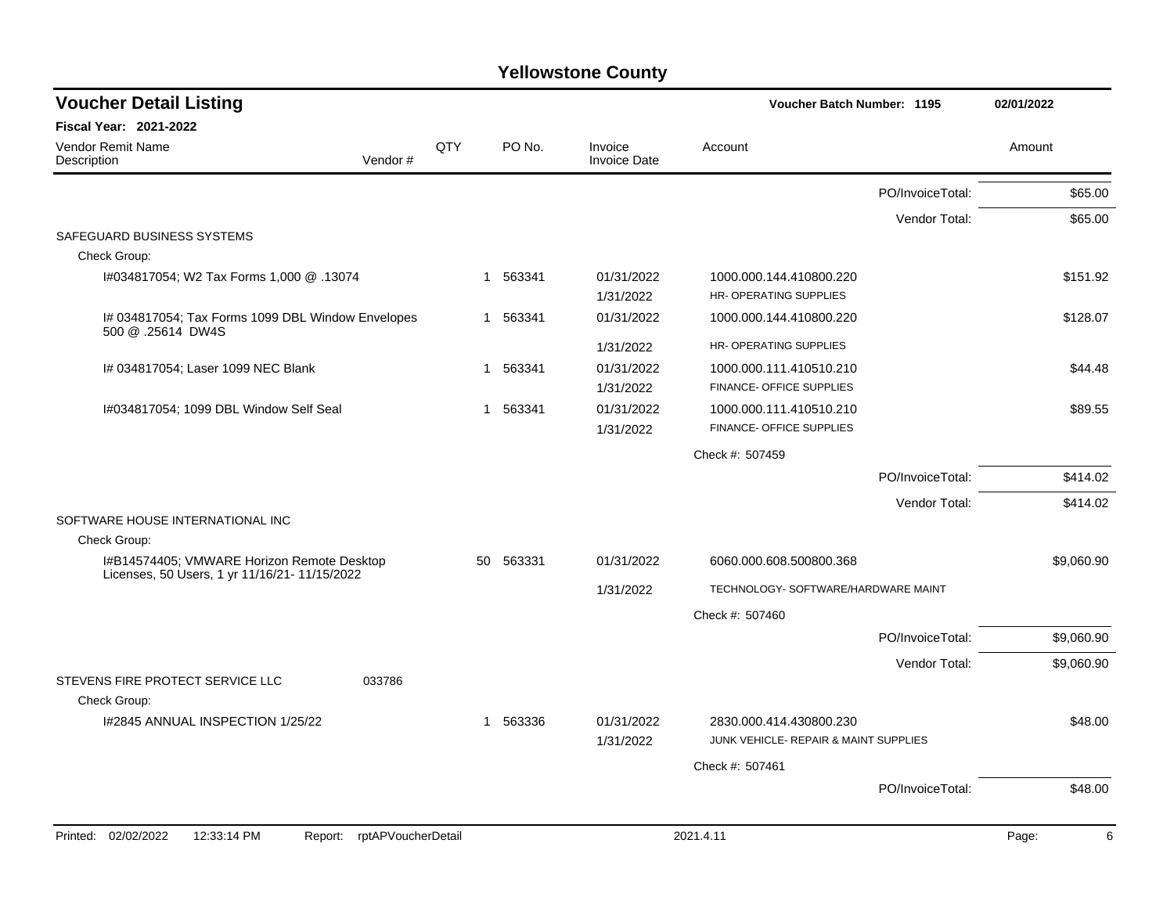| <b>Voucher Detail Listing</b>                                          |     |           |                                | <b>Voucher Batch Number: 1195</b>                                |                  | 02/01/2022 |
|------------------------------------------------------------------------|-----|-----------|--------------------------------|------------------------------------------------------------------|------------------|------------|
| <b>Fiscal Year: 2021-2022</b>                                          |     |           |                                |                                                                  |                  |            |
| <b>Vendor Remit Name</b><br>Vendor#<br>Description                     | QTY | PO No.    | Invoice<br><b>Invoice Date</b> | Account                                                          |                  | Amount     |
|                                                                        |     |           |                                |                                                                  | PO/InvoiceTotal: | \$65.00    |
|                                                                        |     |           |                                |                                                                  | Vendor Total:    | \$65.00    |
| SAFEGUARD BUSINESS SYSTEMS                                             |     |           |                                |                                                                  |                  |            |
| Check Group:                                                           |     |           |                                |                                                                  |                  |            |
| 13074. @ 1,000 H#034817054; W2 Tax Forms 1,000                         |     | 1 563341  | 01/31/2022                     | 1000.000.144.410800.220                                          |                  | \$151.92   |
|                                                                        |     |           | 1/31/2022                      | HR-OPERATING SUPPLIES                                            |                  |            |
| I# 034817054; Tax Forms 1099 DBL Window Envelopes<br>500 @ .25614 DW4S |     | 1 563341  | 01/31/2022                     | 1000.000.144.410800.220                                          |                  | \$128.07   |
|                                                                        |     |           | 1/31/2022                      | HR-OPERATING SUPPLIES                                            |                  |            |
| I# 034817054; Laser 1099 NEC Blank                                     |     | 1 563341  | 01/31/2022                     | 1000.000.111.410510.210                                          |                  | \$44.48    |
|                                                                        |     |           | 1/31/2022                      | FINANCE- OFFICE SUPPLIES                                         |                  |            |
| I#034817054; 1099 DBL Window Self Seal                                 |     | 1 563341  | 01/31/2022                     | 1000.000.111.410510.210                                          |                  | \$89.55    |
|                                                                        |     |           | 1/31/2022                      | FINANCE- OFFICE SUPPLIES                                         |                  |            |
|                                                                        |     |           |                                | Check #: 507459                                                  |                  |            |
|                                                                        |     |           |                                |                                                                  | PO/InvoiceTotal: | \$414.02   |
| SOFTWARE HOUSE INTERNATIONAL INC                                       |     |           |                                |                                                                  | Vendor Total:    | \$414.02   |
| Check Group:                                                           |     |           |                                |                                                                  |                  |            |
| I#B14574405; VMWARE Horizon Remote Desktop                             |     | 50 563331 | 01/31/2022                     | 6060.000.608.500800.368                                          |                  | \$9,060.90 |
| Licenses, 50 Users, 1 yr 11/16/21- 11/15/2022                          |     |           | 1/31/2022                      | TECHNOLOGY- SOFTWARE/HARDWARE MAINT                              |                  |            |
|                                                                        |     |           |                                |                                                                  |                  |            |
|                                                                        |     |           |                                | Check #: 507460                                                  |                  |            |
|                                                                        |     |           |                                |                                                                  | PO/InvoiceTotal: | \$9,060.90 |
|                                                                        |     |           |                                |                                                                  | Vendor Total:    | \$9,060.90 |
| STEVENS FIRE PROTECT SERVICE LLC<br>033786                             |     |           |                                |                                                                  |                  |            |
| Check Group:                                                           |     |           |                                |                                                                  |                  |            |
| I#2845 ANNUAL INSPECTION 1/25/22                                       |     | 1 563336  | 01/31/2022<br>1/31/2022        | 2830.000.414.430800.230<br>JUNK VEHICLE- REPAIR & MAINT SUPPLIES |                  | \$48.00    |
|                                                                        |     |           |                                | Check #: 507461                                                  |                  |            |
|                                                                        |     |           |                                |                                                                  | PO/InvoiceTotal: | \$48.00    |
|                                                                        |     |           |                                |                                                                  |                  |            |
| Printed: 02/02/2022<br>12:33:14 PM<br>rptAPVoucherDetail<br>Report:    |     |           |                                | 2021.4.11                                                        |                  | Page:<br>6 |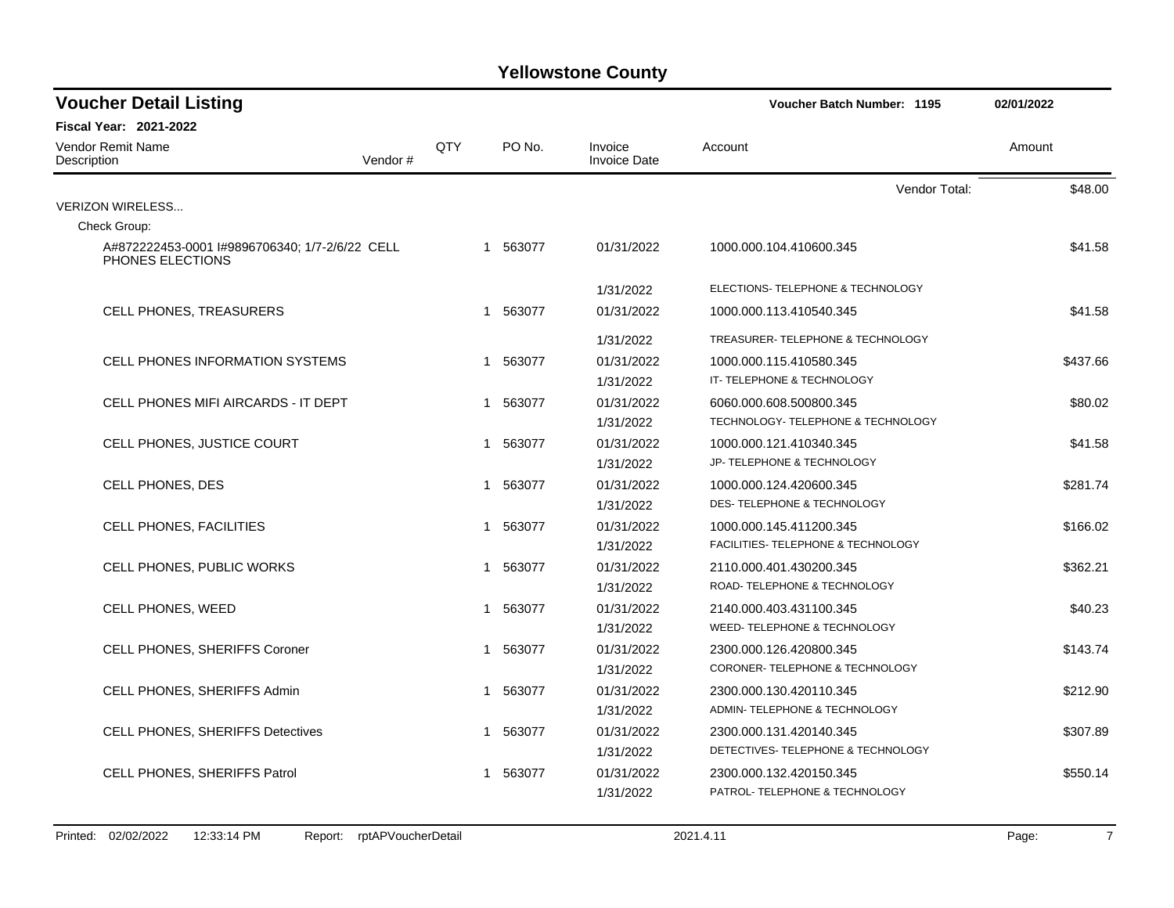| <b>Voucher Detail Listing</b>                                      |         |     |          |                                | Voucher Batch Number: 1195         | 02/01/2022 |
|--------------------------------------------------------------------|---------|-----|----------|--------------------------------|------------------------------------|------------|
| Fiscal Year: 2021-2022                                             |         |     |          |                                |                                    |            |
| <b>Vendor Remit Name</b><br>Description                            | Vendor# | QTY | PO No.   | Invoice<br><b>Invoice Date</b> | Account                            | Amount     |
|                                                                    |         |     |          |                                | Vendor Total:                      | \$48.00    |
| <b>VERIZON WIRELESS</b>                                            |         |     |          |                                |                                    |            |
| Check Group:                                                       |         |     |          |                                |                                    |            |
| A#872222453-0001 l#9896706340; 1/7-2/6/22 CELL<br>PHONES ELECTIONS |         |     | 1 563077 | 01/31/2022                     | 1000.000.104.410600.345            | \$41.58    |
|                                                                    |         |     |          | 1/31/2022                      | ELECTIONS- TELEPHONE & TECHNOLOGY  |            |
| CELL PHONES, TREASURERS                                            |         |     | 1 563077 | 01/31/2022                     | 1000.000.113.410540.345            | \$41.58    |
|                                                                    |         |     |          | 1/31/2022                      | TREASURER-TELEPHONE & TECHNOLOGY   |            |
| <b>CELL PHONES INFORMATION SYSTEMS</b>                             |         |     | 1 563077 | 01/31/2022                     | 1000.000.115.410580.345            | \$437.66   |
|                                                                    |         |     |          | 1/31/2022                      | IT-TELEPHONE & TECHNOLOGY          |            |
| CELL PHONES MIFI AIRCARDS - IT DEPT                                |         |     | 1 563077 | 01/31/2022                     | 6060.000.608.500800.345            | \$80.02    |
|                                                                    |         |     |          | 1/31/2022                      | TECHNOLOGY- TELEPHONE & TECHNOLOGY |            |
| CELL PHONES, JUSTICE COURT                                         |         |     | 1 563077 | 01/31/2022                     | 1000.000.121.410340.345            | \$41.58    |
|                                                                    |         |     |          | 1/31/2022                      | JP- TELEPHONE & TECHNOLOGY         |            |
| CELL PHONES, DES                                                   |         |     | 1 563077 | 01/31/2022                     | 1000.000.124.420600.345            | \$281.74   |
|                                                                    |         |     |          | 1/31/2022                      | DES- TELEPHONE & TECHNOLOGY        |            |
| CELL PHONES, FACILITIES                                            |         |     | 1 563077 | 01/31/2022                     | 1000.000.145.411200.345            | \$166.02   |
|                                                                    |         |     |          | 1/31/2022                      | FACILITIES- TELEPHONE & TECHNOLOGY |            |
| CELL PHONES, PUBLIC WORKS                                          |         |     | 1 563077 | 01/31/2022                     | 2110.000.401.430200.345            | \$362.21   |
|                                                                    |         |     |          | 1/31/2022                      | ROAD-TELEPHONE & TECHNOLOGY        |            |
| CELL PHONES, WEED                                                  |         |     | 1 563077 | 01/31/2022                     | 2140.000.403.431100.345            | \$40.23    |
|                                                                    |         |     |          | 1/31/2022                      | WEED- TELEPHONE & TECHNOLOGY       |            |
| CELL PHONES, SHERIFFS Coroner                                      |         |     | 1 563077 | 01/31/2022                     | 2300.000.126.420800.345            | \$143.74   |
|                                                                    |         |     |          | 1/31/2022                      | CORONER-TELEPHONE & TECHNOLOGY     |            |
| CELL PHONES, SHERIFFS Admin                                        |         |     | 1 563077 | 01/31/2022                     | 2300.000.130.420110.345            | \$212.90   |
|                                                                    |         |     |          | 1/31/2022                      | ADMIN-TELEPHONE & TECHNOLOGY       |            |
| <b>CELL PHONES, SHERIFFS Detectives</b>                            |         |     | 1 563077 | 01/31/2022                     | 2300.000.131.420140.345            | \$307.89   |
|                                                                    |         |     |          | 1/31/2022                      | DETECTIVES- TELEPHONE & TECHNOLOGY |            |
| <b>CELL PHONES, SHERIFFS Patrol</b>                                |         |     | 1 563077 | 01/31/2022                     | 2300.000.132.420150.345            | \$550.14   |
|                                                                    |         |     |          | 1/31/2022                      | PATROL- TELEPHONE & TECHNOLOGY     |            |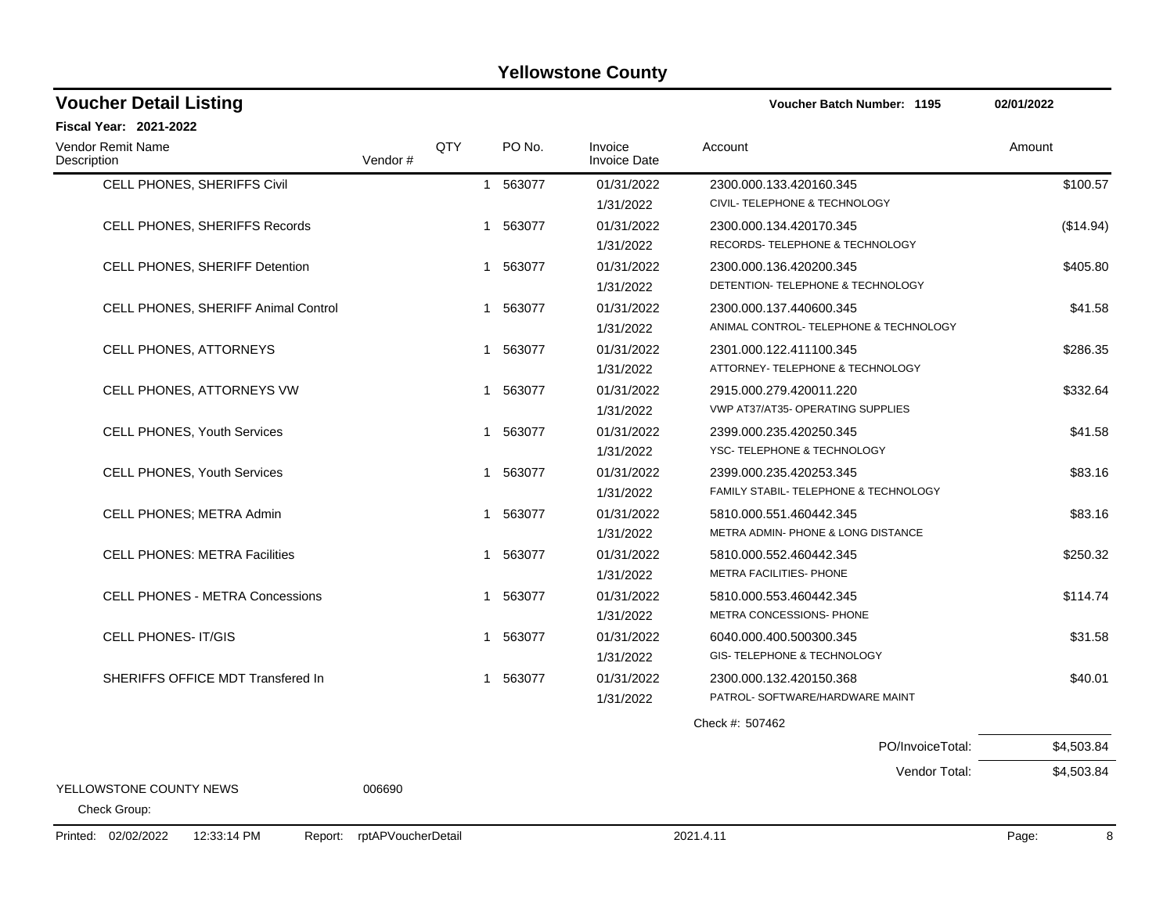| <b>Voucher Detail Listing</b>                 |                    |              |          |                                | <b>Voucher Batch Number: 1195</b>      | 02/01/2022 |
|-----------------------------------------------|--------------------|--------------|----------|--------------------------------|----------------------------------------|------------|
| <b>Fiscal Year: 2021-2022</b>                 |                    |              |          |                                |                                        |            |
| <b>Vendor Remit Name</b><br>Description       | Vendor #           | QTY          | PO No.   | Invoice<br><b>Invoice Date</b> | Account                                | Amount     |
| CELL PHONES, SHERIFFS Civil                   |                    |              | 1 563077 | 01/31/2022                     | 2300.000.133.420160.345                | \$100.57   |
|                                               |                    |              |          | 1/31/2022                      | CIVIL- TELEPHONE & TECHNOLOGY          |            |
| CELL PHONES, SHERIFFS Records                 |                    |              | 1 563077 | 01/31/2022                     | 2300.000.134.420170.345                | (\$14.94)  |
|                                               |                    |              |          | 1/31/2022                      | RECORDS- TELEPHONE & TECHNOLOGY        |            |
| CELL PHONES, SHERIFF Detention                |                    |              | 1 563077 | 01/31/2022                     | 2300.000.136.420200.345                | \$405.80   |
|                                               |                    |              |          | 1/31/2022                      | DETENTION- TELEPHONE & TECHNOLOGY      |            |
| CELL PHONES, SHERIFF Animal Control           |                    | -1           | 563077   | 01/31/2022                     | 2300.000.137.440600.345                | \$41.58    |
|                                               |                    |              |          | 1/31/2022                      | ANIMAL CONTROL- TELEPHONE & TECHNOLOGY |            |
| <b>CELL PHONES, ATTORNEYS</b>                 |                    | $\mathbf{1}$ | 563077   | 01/31/2022                     | 2301.000.122.411100.345                | \$286.35   |
|                                               |                    |              |          | 1/31/2022                      | ATTORNEY- TELEPHONE & TECHNOLOGY       |            |
| <b>CELL PHONES, ATTORNEYS VW</b>              |                    | $\mathbf 1$  | 563077   | 01/31/2022                     | 2915.000.279.420011.220                | \$332.64   |
|                                               |                    |              |          | 1/31/2022                      | VWP AT37/AT35- OPERATING SUPPLIES      |            |
| <b>CELL PHONES, Youth Services</b>            |                    | 1            | 563077   | 01/31/2022                     | 2399.000.235.420250.345                | \$41.58    |
|                                               |                    |              |          | 1/31/2022                      | YSC-TELEPHONE & TECHNOLOGY             |            |
| <b>CELL PHONES, Youth Services</b>            |                    | 1            | 563077   | 01/31/2022                     | 2399.000.235.420253.345                | \$83.16    |
|                                               |                    |              |          | 1/31/2022                      | FAMILY STABIL- TELEPHONE & TECHNOLOGY  |            |
| <b>CELL PHONES; METRA Admin</b>               |                    | 1            | 563077   | 01/31/2022                     | 5810.000.551.460442.345                | \$83.16    |
|                                               |                    |              |          | 1/31/2022                      | METRA ADMIN- PHONE & LONG DISTANCE     |            |
| <b>CELL PHONES: METRA Facilities</b>          |                    | 1            | 563077   | 01/31/2022                     | 5810.000.552.460442.345                | \$250.32   |
|                                               |                    |              |          | 1/31/2022                      | METRA FACILITIES- PHONE                |            |
| <b>CELL PHONES - METRA Concessions</b>        |                    |              | 1 563077 | 01/31/2022                     | 5810.000.553.460442.345                | \$114.74   |
|                                               |                    |              |          | 1/31/2022                      | METRA CONCESSIONS- PHONE               |            |
| <b>CELL PHONES-IT/GIS</b>                     |                    |              | 1 563077 | 01/31/2022                     | 6040.000.400.500300.345                | \$31.58    |
|                                               |                    |              |          | 1/31/2022                      | GIS- TELEPHONE & TECHNOLOGY            |            |
| SHERIFFS OFFICE MDT Transfered In             |                    |              | 1 563077 | 01/31/2022                     | 2300.000.132.420150.368                | \$40.01    |
|                                               |                    |              |          | 1/31/2022                      | PATROL- SOFTWARE/HARDWARE MAINT        |            |
|                                               |                    |              |          |                                | Check #: 507462                        |            |
|                                               |                    |              |          |                                | PO/InvoiceTotal:                       | \$4,503.84 |
|                                               |                    |              |          |                                | Vendor Total:                          | \$4,503.84 |
| YELLOWSTONE COUNTY NEWS<br>Check Group:       | 006690             |              |          |                                |                                        |            |
| Printed: 02/02/2022<br>12:33:14 PM<br>Report: | rptAPVoucherDetail |              |          |                                | 2021.4.11                              | 8<br>Page: |